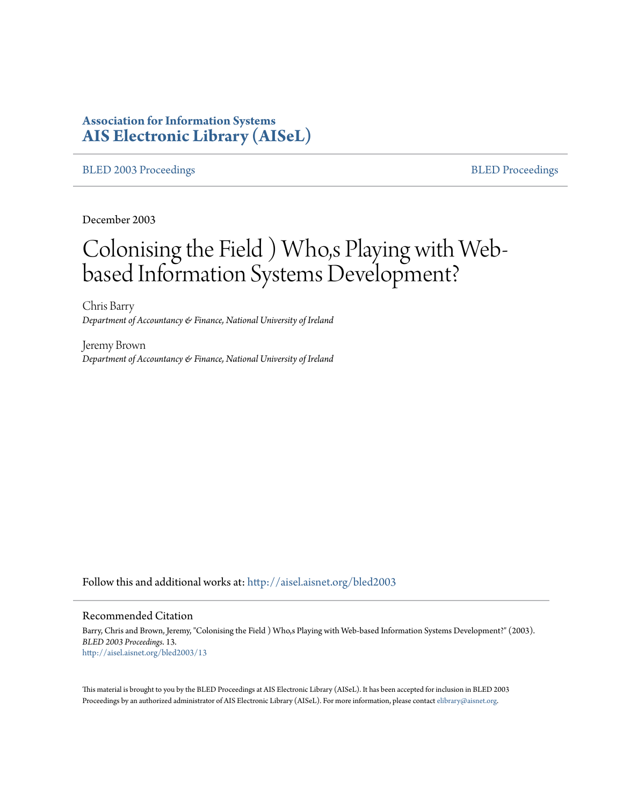# **Association for Information Systems [AIS Electronic Library \(AISeL\)](http://aisel.aisnet.org?utm_source=aisel.aisnet.org%2Fbled2003%2F13&utm_medium=PDF&utm_campaign=PDFCoverPages)**

#### [BLED 2003 Proceedings](http://aisel.aisnet.org/bled2003?utm_source=aisel.aisnet.org%2Fbled2003%2F13&utm_medium=PDF&utm_campaign=PDFCoverPages) and the state of the state of the [BLED Proceedings](http://aisel.aisnet.org/bled?utm_source=aisel.aisnet.org%2Fbled2003%2F13&utm_medium=PDF&utm_campaign=PDFCoverPages) and the BLED Proceedings and the BLED Proceedings and the BLED Proceedings and the BLED Proceedings and the BLED Proceedings and the BLED Proceedings

December 2003

# Colonising the Field ) Who,s Playing with Webbased Information Systems Development?

Chris Barry *Department of Accountancy & Finance, National University of Ireland*

Jeremy Brown *Department of Accountancy & Finance, National University of Ireland*

Follow this and additional works at: [http://aisel.aisnet.org/bled2003](http://aisel.aisnet.org/bled2003?utm_source=aisel.aisnet.org%2Fbled2003%2F13&utm_medium=PDF&utm_campaign=PDFCoverPages)

#### Recommended Citation

Barry, Chris and Brown, Jeremy, "Colonising the Field ) Who,s Playing with Web-based Information Systems Development?" (2003). *BLED 2003 Proceedings*. 13. [http://aisel.aisnet.org/bled2003/13](http://aisel.aisnet.org/bled2003/13?utm_source=aisel.aisnet.org%2Fbled2003%2F13&utm_medium=PDF&utm_campaign=PDFCoverPages)

This material is brought to you by the BLED Proceedings at AIS Electronic Library (AISeL). It has been accepted for inclusion in BLED 2003 Proceedings by an authorized administrator of AIS Electronic Library (AISeL). For more information, please contact [elibrary@aisnet.org](mailto:elibrary@aisnet.org%3E).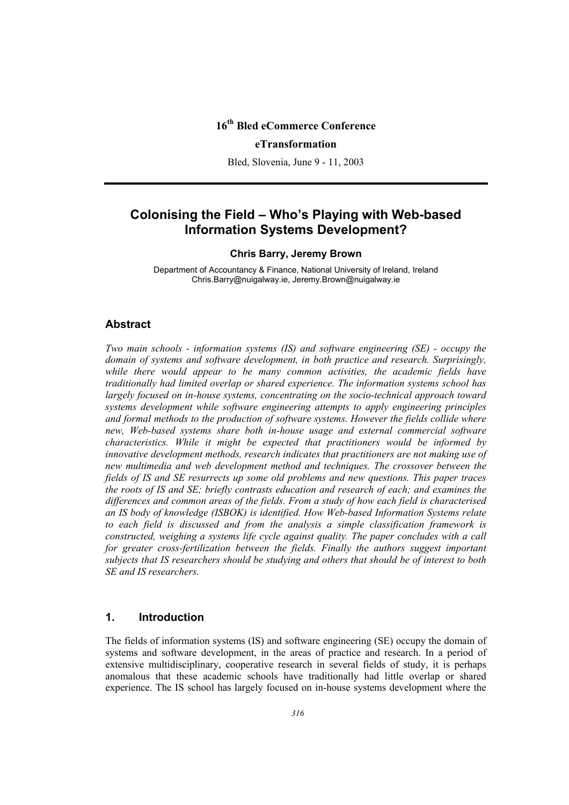# **16th Bled eCommerce Conference eTransformation**

Bled, Slovenia, June 9 - 11, 2003

# **Colonising the Field – Who's Playing with Web-based Information Systems Development?**

#### **Chris Barry, Jeremy Brown**

Department of Accountancy & Finance, National University of Ireland, Ireland Chris.Barry@nuigalway.ie, Jeremy.Brown@nuigalway.ie

#### **Abstract**

*Two main schools - information systems (IS) and software engineering (SE) - occupy the domain of systems and software development, in both practice and research. Surprisingly,*  while there would appear to be many common activities, the academic fields have *traditionally had limited overlap or shared experience. The information systems school has largely focused on in-house systems, concentrating on the socio-technical approach toward systems development while software engineering attempts to apply engineering principles and formal methods to the production of software systems. However the fields collide where new, Web-based systems share both in-house usage and external commercial software characteristics. While it might be expected that practitioners would be informed by innovative development methods, research indicates that practitioners are not making use of new multimedia and web development method and techniques. The crossover between the fields of IS and SE resurrects up some old problems and new questions. This paper traces the roots of IS and SE; briefly contrasts education and research of each; and examines the differences and common areas of the fields. From a study of how each field is characterised an IS body of knowledge (ISBOK) is identified. How Web-based Information Systems relate to each field is discussed and from the analysis a simple classification framework is constructed, weighing a systems life cycle against quality. The paper concludes with a call*  for greater cross-fertilization between the fields. Finally the authors suggest important *subjects that IS researchers should be studying and others that should be of interest to both SE and IS researchers.*

#### **1. Introduction**

The fields of information systems (IS) and software engineering (SE) occupy the domain of systems and software development, in the areas of practice and research. In a period of extensive multidisciplinary, cooperative research in several fields of study, it is perhaps anomalous that these academic schools have traditionally had little overlap or shared experience. The IS school has largely focused on in-house systems development where the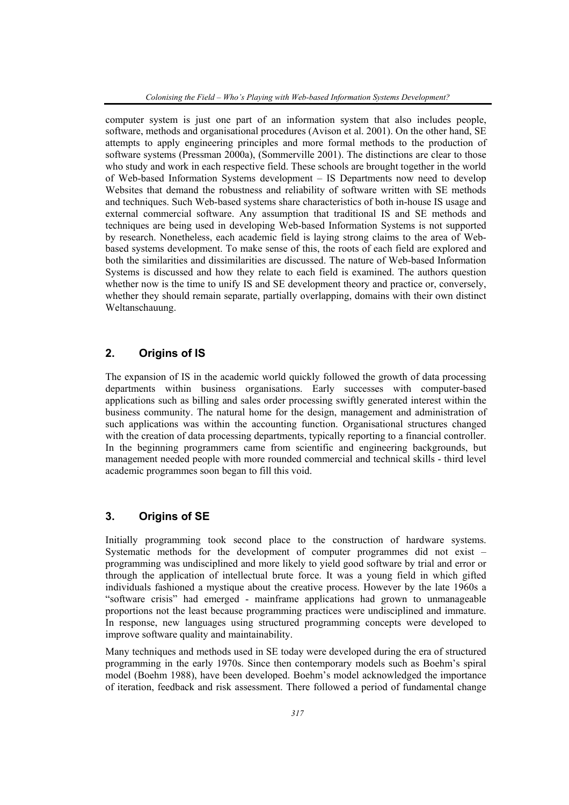computer system is just one part of an information system that also includes people, software, methods and organisational procedures (Avison et al. 2001). On the other hand, SE attempts to apply engineering principles and more formal methods to the production of software systems (Pressman 2000a), (Sommerville 2001). The distinctions are clear to those who study and work in each respective field. These schools are brought together in the world of Web-based Information Systems development – IS Departments now need to develop Websites that demand the robustness and reliability of software written with SE methods and techniques. Such Web-based systems share characteristics of both in-house IS usage and external commercial software. Any assumption that traditional IS and SE methods and techniques are being used in developing Web-based Information Systems is not supported by research. Nonetheless, each academic field is laying strong claims to the area of Webbased systems development. To make sense of this, the roots of each field are explored and both the similarities and dissimilarities are discussed. The nature of Web-based Information Systems is discussed and how they relate to each field is examined. The authors question whether now is the time to unify IS and SE development theory and practice or, conversely, whether they should remain separate, partially overlapping, domains with their own distinct Weltanschauung.

## **2. Origins of IS**

The expansion of IS in the academic world quickly followed the growth of data processing departments within business organisations. Early successes with computer-based applications such as billing and sales order processing swiftly generated interest within the business community. The natural home for the design, management and administration of such applications was within the accounting function. Organisational structures changed with the creation of data processing departments, typically reporting to a financial controller. In the beginning programmers came from scientific and engineering backgrounds, but management needed people with more rounded commercial and technical skills - third level academic programmes soon began to fill this void.

#### **3. Origins of SE**

Initially programming took second place to the construction of hardware systems. Systematic methods for the development of computer programmes did not exist – programming was undisciplined and more likely to yield good software by trial and error or through the application of intellectual brute force. It was a young field in which gifted individuals fashioned a mystique about the creative process. However by the late 1960s a "software crisis" had emerged - mainframe applications had grown to unmanageable proportions not the least because programming practices were undisciplined and immature. In response, new languages using structured programming concepts were developed to improve software quality and maintainability.

Many techniques and methods used in SE today were developed during the era of structured programming in the early 1970s. Since then contemporary models such as Boehm's spiral model (Boehm 1988), have been developed. Boehm's model acknowledged the importance of iteration, feedback and risk assessment. There followed a period of fundamental change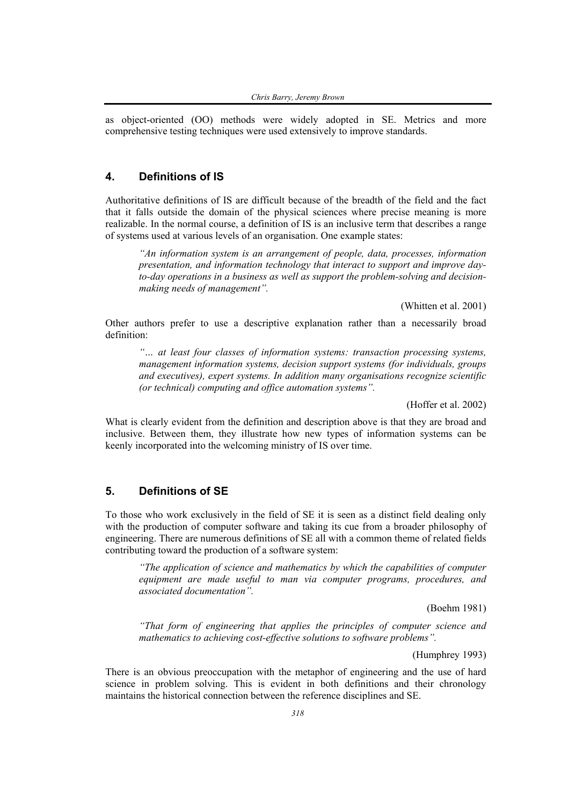as object-oriented (OO) methods were widely adopted in SE. Metrics and more comprehensive testing techniques were used extensively to improve standards.

#### **4. Definitions of IS**

Authoritative definitions of IS are difficult because of the breadth of the field and the fact that it falls outside the domain of the physical sciences where precise meaning is more realizable. In the normal course, a definition of IS is an inclusive term that describes a range of systems used at various levels of an organisation. One example states:

*"An information system is an arrangement of people, data, processes, information presentation, and information technology that interact to support and improve dayto-day operations in a business as well as support the problem-solving and decisionmaking needs of management".* 

(Whitten et al. 2001)

Other authors prefer to use a descriptive explanation rather than a necessarily broad definition:

*"… at least four classes of information systems: transaction processing systems, management information systems, decision support systems (for individuals, groups and executives), expert systems. In addition many organisations recognize scientific (or technical) computing and office automation systems".* 

(Hoffer et al. 2002)

What is clearly evident from the definition and description above is that they are broad and inclusive. Between them, they illustrate how new types of information systems can be keenly incorporated into the welcoming ministry of IS over time.

#### **5. Definitions of SE**

To those who work exclusively in the field of SE it is seen as a distinct field dealing only with the production of computer software and taking its cue from a broader philosophy of engineering. There are numerous definitions of SE all with a common theme of related fields contributing toward the production of a software system:

*"The application of science and mathematics by which the capabilities of computer equipment are made useful to man via computer programs, procedures, and associated documentation".* 

(Boehm 1981)

*"That form of engineering that applies the principles of computer science and mathematics to achieving cost-effective solutions to software problems".* 

(Humphrey 1993)

There is an obvious preoccupation with the metaphor of engineering and the use of hard science in problem solving. This is evident in both definitions and their chronology maintains the historical connection between the reference disciplines and SE.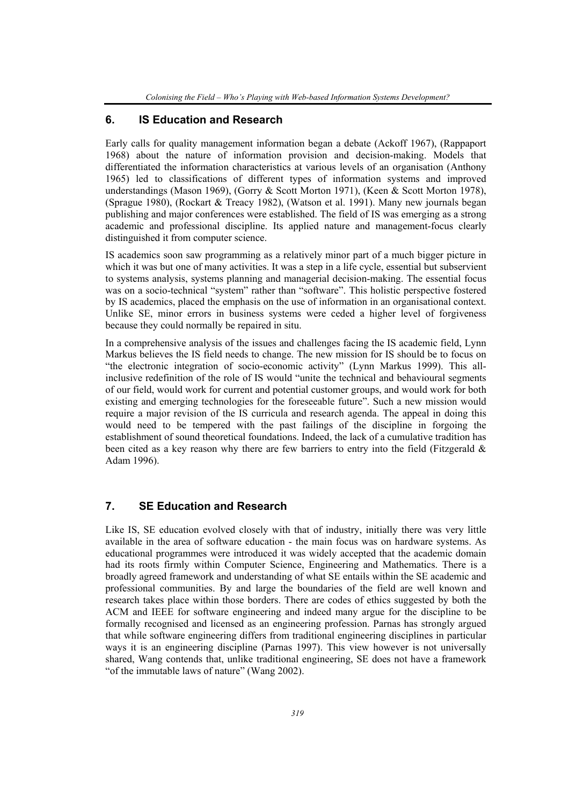## **6. IS Education and Research**

Early calls for quality management information began a debate (Ackoff 1967), (Rappaport 1968) about the nature of information provision and decision-making. Models that differentiated the information characteristics at various levels of an organisation (Anthony 1965) led to classifications of different types of information systems and improved understandings (Mason 1969), (Gorry & Scott Morton 1971), (Keen & Scott Morton 1978), (Sprague 1980), (Rockart & Treacy 1982), (Watson et al. 1991). Many new journals began publishing and major conferences were established. The field of IS was emerging as a strong academic and professional discipline. Its applied nature and management-focus clearly distinguished it from computer science.

IS academics soon saw programming as a relatively minor part of a much bigger picture in which it was but one of many activities. It was a step in a life cycle, essential but subservient to systems analysis, systems planning and managerial decision-making. The essential focus was on a socio-technical "system" rather than "software". This holistic perspective fostered by IS academics, placed the emphasis on the use of information in an organisational context. Unlike SE, minor errors in business systems were ceded a higher level of forgiveness because they could normally be repaired in situ.

In a comprehensive analysis of the issues and challenges facing the IS academic field, Lynn Markus believes the IS field needs to change. The new mission for IS should be to focus on "the electronic integration of socio-economic activity" (Lynn Markus 1999). This allinclusive redefinition of the role of IS would "unite the technical and behavioural segments of our field, would work for current and potential customer groups, and would work for both existing and emerging technologies for the foreseeable future". Such a new mission would require a major revision of the IS curricula and research agenda. The appeal in doing this would need to be tempered with the past failings of the discipline in forgoing the establishment of sound theoretical foundations. Indeed, the lack of a cumulative tradition has been cited as a key reason why there are few barriers to entry into the field (Fitzgerald  $\&$ Adam 1996).

#### **7. SE Education and Research**

Like IS, SE education evolved closely with that of industry, initially there was very little available in the area of software education - the main focus was on hardware systems. As educational programmes were introduced it was widely accepted that the academic domain had its roots firmly within Computer Science, Engineering and Mathematics. There is a broadly agreed framework and understanding of what SE entails within the SE academic and professional communities. By and large the boundaries of the field are well known and research takes place within those borders. There are codes of ethics suggested by both the ACM and IEEE for software engineering and indeed many argue for the discipline to be formally recognised and licensed as an engineering profession. Parnas has strongly argued that while software engineering differs from traditional engineering disciplines in particular ways it is an engineering discipline (Parnas 1997). This view however is not universally shared, Wang contends that, unlike traditional engineering, SE does not have a framework "of the immutable laws of nature" (Wang 2002).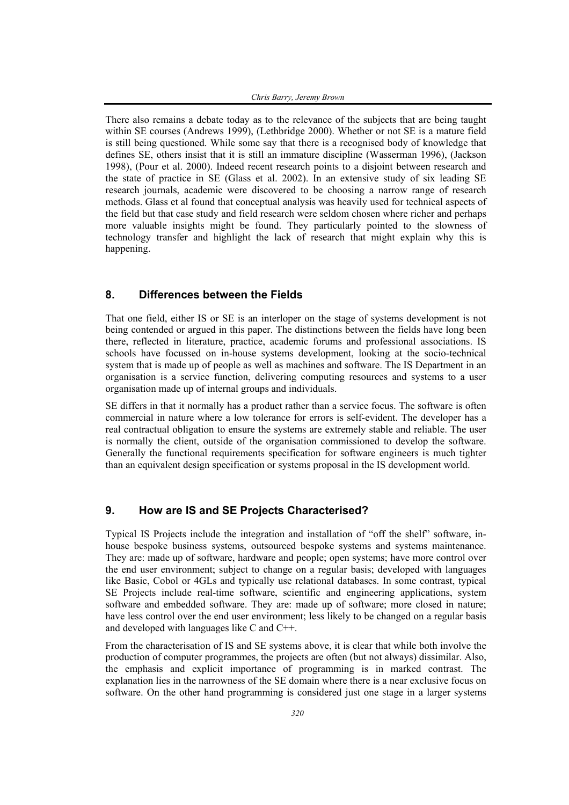There also remains a debate today as to the relevance of the subjects that are being taught within SE courses (Andrews 1999), (Lethbridge 2000). Whether or not SE is a mature field is still being questioned. While some say that there is a recognised body of knowledge that defines SE, others insist that it is still an immature discipline (Wasserman 1996), (Jackson 1998), (Pour et al. 2000). Indeed recent research points to a disjoint between research and the state of practice in SE (Glass et al. 2002). In an extensive study of six leading SE research journals, academic were discovered to be choosing a narrow range of research methods. Glass et al found that conceptual analysis was heavily used for technical aspects of the field but that case study and field research were seldom chosen where richer and perhaps more valuable insights might be found. They particularly pointed to the slowness of technology transfer and highlight the lack of research that might explain why this is happening.

### **8. Differences between the Fields**

That one field, either IS or SE is an interloper on the stage of systems development is not being contended or argued in this paper. The distinctions between the fields have long been there, reflected in literature, practice, academic forums and professional associations. IS schools have focussed on in-house systems development, looking at the socio-technical system that is made up of people as well as machines and software. The IS Department in an organisation is a service function, delivering computing resources and systems to a user organisation made up of internal groups and individuals.

SE differs in that it normally has a product rather than a service focus. The software is often commercial in nature where a low tolerance for errors is self-evident. The developer has a real contractual obligation to ensure the systems are extremely stable and reliable. The user is normally the client, outside of the organisation commissioned to develop the software. Generally the functional requirements specification for software engineers is much tighter than an equivalent design specification or systems proposal in the IS development world.

### **9. How are IS and SE Projects Characterised?**

Typical IS Projects include the integration and installation of "off the shelf" software, inhouse bespoke business systems, outsourced bespoke systems and systems maintenance. They are: made up of software, hardware and people; open systems; have more control over the end user environment; subject to change on a regular basis; developed with languages like Basic, Cobol or 4GLs and typically use relational databases. In some contrast, typical SE Projects include real-time software, scientific and engineering applications, system software and embedded software. They are: made up of software; more closed in nature; have less control over the end user environment; less likely to be changed on a regular basis and developed with languages like C and C++.

From the characterisation of IS and SE systems above, it is clear that while both involve the production of computer programmes, the projects are often (but not always) dissimilar. Also, the emphasis and explicit importance of programming is in marked contrast. The explanation lies in the narrowness of the SE domain where there is a near exclusive focus on software. On the other hand programming is considered just one stage in a larger systems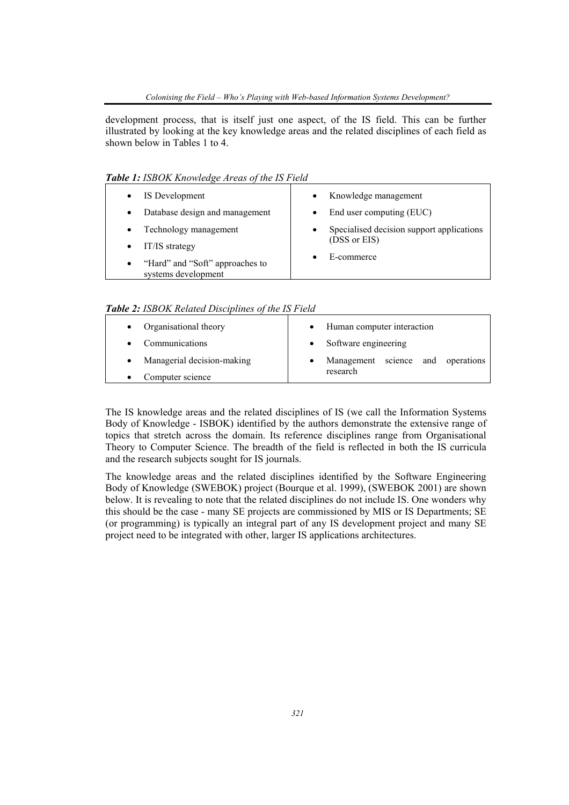development process, that is itself just one aspect, of the IS field. This can be further illustrated by looking at the key knowledge areas and the related disciplines of each field as shown below in Tables 1 to 4.

*Table 1: ISBOK Knowledge Areas of the IS Field* 

| IS Development                                                      | Knowledge management<br>$\bullet$                      |
|---------------------------------------------------------------------|--------------------------------------------------------|
| Database design and management<br>$\bullet$                         | End user computing (EUC)                               |
| Technology management<br>$\bullet$                                  | Specialised decision support applications<br>$\bullet$ |
| IT/IS strategy                                                      | (DSS or EIS)                                           |
| "Hard" and "Soft" approaches to<br>$\bullet$<br>systems development | E-commerce                                             |

*Table 2: ISBOK Related Disciplines of the IS Field*

| Organisational theory      | Human computer interaction        |  |  |
|----------------------------|-----------------------------------|--|--|
| Communications             | • Software engineering            |  |  |
| Managerial decision-making | Management science and operations |  |  |
| Computer science           | research                          |  |  |

The IS knowledge areas and the related disciplines of IS (we call the Information Systems Body of Knowledge - ISBOK) identified by the authors demonstrate the extensive range of topics that stretch across the domain. Its reference disciplines range from Organisational Theory to Computer Science. The breadth of the field is reflected in both the IS curricula and the research subjects sought for IS journals.

The knowledge areas and the related disciplines identified by the Software Engineering Body of Knowledge (SWEBOK) project (Bourque et al. 1999), (SWEBOK 2001) are shown below. It is revealing to note that the related disciplines do not include IS. One wonders why this should be the case - many SE projects are commissioned by MIS or IS Departments; SE (or programming) is typically an integral part of any IS development project and many SE project need to be integrated with other, larger IS applications architectures.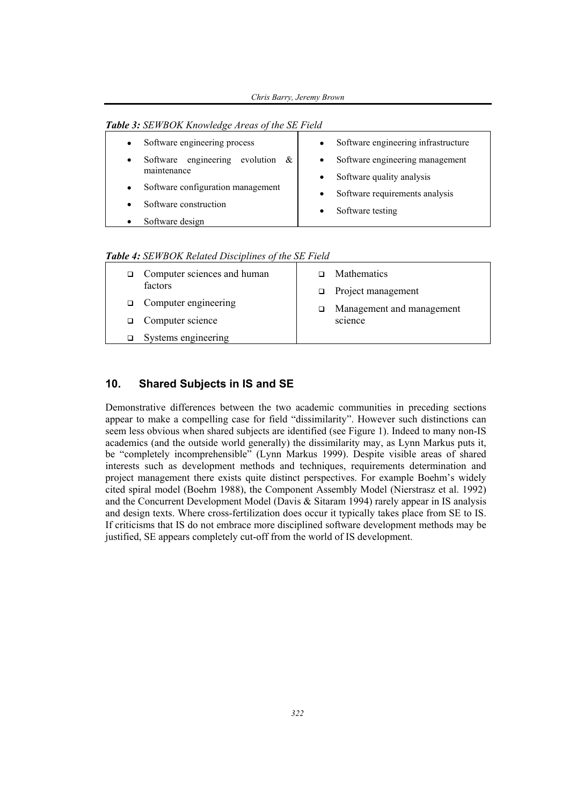|  |  |  | <b>Table 3:</b> SEWBOK Knowledge Areas of the SE Field |  |  |
|--|--|--|--------------------------------------------------------|--|--|
|--|--|--|--------------------------------------------------------|--|--|

| Software engineering process<br>$\bullet$                  | Software engineering infrastructure<br>$\bullet$ |
|------------------------------------------------------------|--------------------------------------------------|
| Software engineering<br>evolution<br>$\alpha$<br>$\bullet$ | Software engineering management<br>$\bullet$     |
| maintenance                                                | Software quality analysis<br>$\bullet$           |
| Software configuration management<br>$\bullet$             | Software requirements analysis<br>$\bullet$      |
| Software construction                                      |                                                  |
|                                                            | Software testing<br>$\bullet$                    |
| Software design                                            |                                                  |

*Table 4: SEWBOK Related Disciplines of the SE Field* 

| Computer sciences and human<br>factors | <b>Mathematics</b><br>$\Box$ Project management |
|----------------------------------------|-------------------------------------------------|
| $\Box$ Computer engineering            | Management and management                       |
| $\Box$ Computer science                | science                                         |
| Systems engineering                    |                                                 |

### **10. Shared Subjects in IS and SE**

Demonstrative differences between the two academic communities in preceding sections appear to make a compelling case for field "dissimilarity". However such distinctions can seem less obvious when shared subjects are identified (see Figure 1). Indeed to many non-IS academics (and the outside world generally) the dissimilarity may, as Lynn Markus puts it, be "completely incomprehensible" (Lynn Markus 1999). Despite visible areas of shared interests such as development methods and techniques, requirements determination and project management there exists quite distinct perspectives. For example Boehm's widely cited spiral model (Boehm 1988), the Component Assembly Model (Nierstrasz et al. 1992) and the Concurrent Development Model (Davis & Sitaram 1994) rarely appear in IS analysis and design texts. Where cross-fertilization does occur it typically takes place from SE to IS. If criticisms that IS do not embrace more disciplined software development methods may be justified, SE appears completely cut-off from the world of IS development.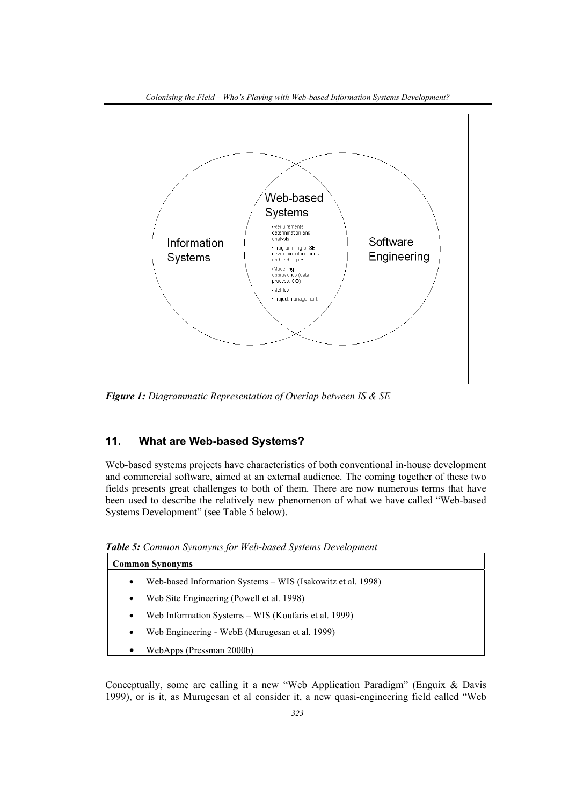

*Figure 1: Diagrammatic Representation of Overlap between IS & SE* 

## **11. What are Web-based Systems?**

Web-based systems projects have characteristics of both conventional in-house development and commercial software, aimed at an external audience. The coming together of these two fields presents great challenges to both of them. There are now numerous terms that have been used to describe the relatively new phenomenon of what we have called "Web-based Systems Development" (see Table 5 below).

*Table 5: Common Synonyms for Web-based Systems Development* 

| <b>Common Synonyms</b>                                 |                                                             |
|--------------------------------------------------------|-------------------------------------------------------------|
| $\bullet$                                              | Web-based Information Systems – WIS (Isakowitz et al. 1998) |
| Web Site Engineering (Powell et al. 1998)<br>$\bullet$ |                                                             |
| $\bullet$                                              | Web Information Systems – WIS (Koufaris et al. 1999)        |
| $\bullet$                                              | Web Engineering - WebE (Murugesan et al. 1999)              |
| WebApps (Pressman 2000b)<br>٠                          |                                                             |

Conceptually, some are calling it a new "Web Application Paradigm" (Enguix & Davis 1999), or is it, as Murugesan et al consider it, a new quasi-engineering field called "Web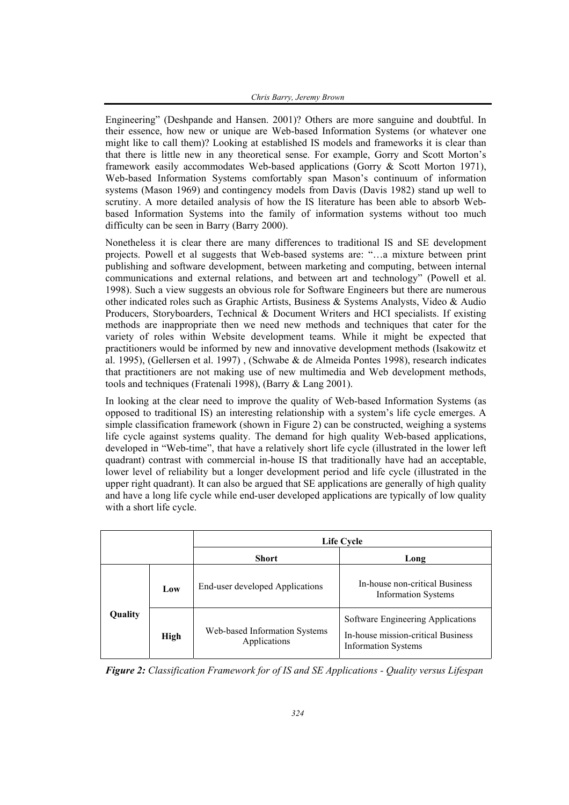Engineering" (Deshpande and Hansen. 2001)? Others are more sanguine and doubtful. In their essence, how new or unique are Web-based Information Systems (or whatever one might like to call them)? Looking at established IS models and frameworks it is clear than that there is little new in any theoretical sense. For example, Gorry and Scott Morton's framework easily accommodates Web-based applications (Gorry & Scott Morton 1971), Web-based Information Systems comfortably span Mason's continuum of information systems (Mason 1969) and contingency models from Davis (Davis 1982) stand up well to scrutiny. A more detailed analysis of how the IS literature has been able to absorb Webbased Information Systems into the family of information systems without too much difficulty can be seen in Barry (Barry 2000).

Nonetheless it is clear there are many differences to traditional IS and SE development projects. Powell et al suggests that Web-based systems are: "…a mixture between print publishing and software development, between marketing and computing, between internal communications and external relations, and between art and technology" (Powell et al. 1998). Such a view suggests an obvious role for Software Engineers but there are numerous other indicated roles such as Graphic Artists, Business & Systems Analysts, Video & Audio Producers, Storyboarders, Technical & Document Writers and HCI specialists. If existing methods are inappropriate then we need new methods and techniques that cater for the variety of roles within Website development teams. While it might be expected that practitioners would be informed by new and innovative development methods (Isakowitz et al. 1995), (Gellersen et al. 1997) , (Schwabe & de Almeida Pontes 1998), research indicates that practitioners are not making use of new multimedia and Web development methods, tools and techniques (Fratenali 1998), (Barry & Lang 2001).

In looking at the clear need to improve the quality of Web-based Information Systems (as opposed to traditional IS) an interesting relationship with a system's life cycle emerges. A simple classification framework (shown in Figure 2) can be constructed, weighing a systems life cycle against systems quality. The demand for high quality Web-based applications, developed in "Web-time", that have a relatively short life cycle (illustrated in the lower left quadrant) contrast with commercial in-house IS that traditionally have had an acceptable, lower level of reliability but a longer development period and life cycle (illustrated in the upper right quadrant). It can also be argued that SE applications are generally of high quality and have a long life cycle while end-user developed applications are typically of low quality with a short life cycle.

|         |      | Life Cycle                                    |                                                                                                       |  |
|---------|------|-----------------------------------------------|-------------------------------------------------------------------------------------------------------|--|
|         |      | <b>Short</b>                                  | Long                                                                                                  |  |
| Quality | Low  | End-user developed Applications               | In-house non-critical Business<br><b>Information Systems</b>                                          |  |
|         | High | Web-based Information Systems<br>Applications | Software Engineering Applications<br>In-house mission-critical Business<br><b>Information Systems</b> |  |

*Figure 2: Classification Framework for of IS and SE Applications - Quality versus Lifespan*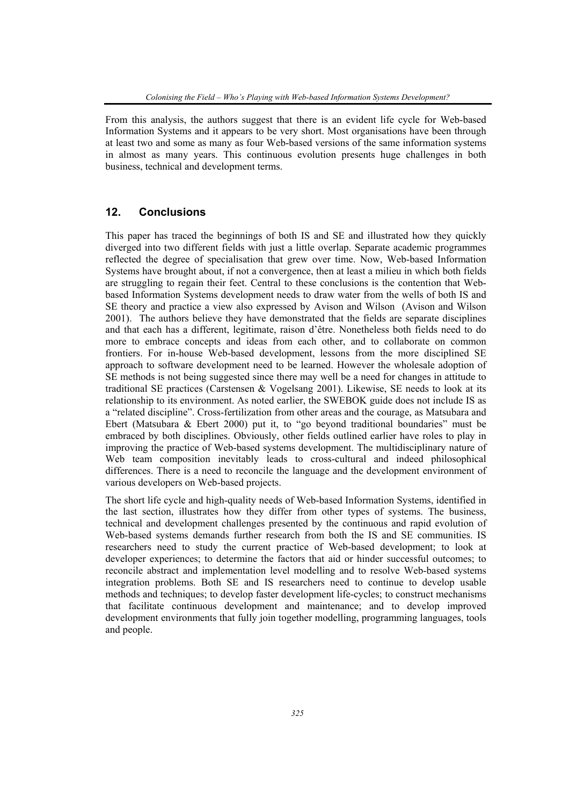From this analysis, the authors suggest that there is an evident life cycle for Web-based Information Systems and it appears to be very short. Most organisations have been through at least two and some as many as four Web-based versions of the same information systems in almost as many years. This continuous evolution presents huge challenges in both business, technical and development terms.

#### **12. Conclusions**

This paper has traced the beginnings of both IS and SE and illustrated how they quickly diverged into two different fields with just a little overlap. Separate academic programmes reflected the degree of specialisation that grew over time. Now, Web-based Information Systems have brought about, if not a convergence, then at least a milieu in which both fields are struggling to regain their feet. Central to these conclusions is the contention that Webbased Information Systems development needs to draw water from the wells of both IS and SE theory and practice a view also expressed by Avison and Wilson (Avison and Wilson 2001). The authors believe they have demonstrated that the fields are separate disciplines and that each has a different, legitimate, raison d'être. Nonetheless both fields need to do more to embrace concepts and ideas from each other, and to collaborate on common frontiers. For in-house Web-based development, lessons from the more disciplined SE approach to software development need to be learned. However the wholesale adoption of SE methods is not being suggested since there may well be a need for changes in attitude to traditional SE practices (Carstensen & Vogelsang 2001). Likewise, SE needs to look at its relationship to its environment. As noted earlier, the SWEBOK guide does not include IS as a "related discipline". Cross-fertilization from other areas and the courage, as Matsubara and Ebert (Matsubara & Ebert 2000) put it, to "go beyond traditional boundaries" must be embraced by both disciplines. Obviously, other fields outlined earlier have roles to play in improving the practice of Web-based systems development. The multidisciplinary nature of Web team composition inevitably leads to cross-cultural and indeed philosophical differences. There is a need to reconcile the language and the development environment of various developers on Web-based projects.

The short life cycle and high-quality needs of Web-based Information Systems, identified in the last section, illustrates how they differ from other types of systems. The business, technical and development challenges presented by the continuous and rapid evolution of Web-based systems demands further research from both the IS and SE communities. IS researchers need to study the current practice of Web-based development; to look at developer experiences; to determine the factors that aid or hinder successful outcomes; to reconcile abstract and implementation level modelling and to resolve Web-based systems integration problems. Both SE and IS researchers need to continue to develop usable methods and techniques; to develop faster development life-cycles; to construct mechanisms that facilitate continuous development and maintenance; and to develop improved development environments that fully join together modelling, programming languages, tools and people.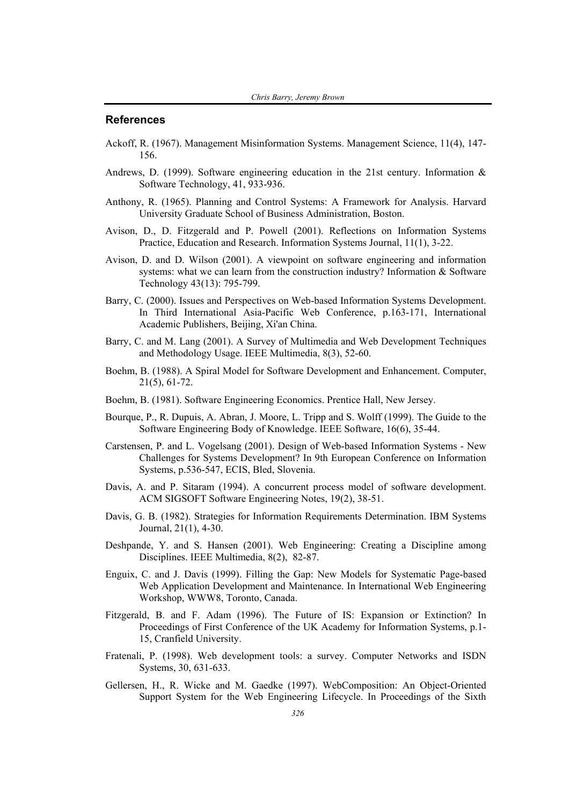#### **References**

- Ackoff, R. (1967). Management Misinformation Systems. Management Science, 11(4), 147- 156.
- Andrews, D. (1999). Software engineering education in the 21st century. Information & Software Technology, 41, 933-936.
- Anthony, R. (1965). Planning and Control Systems: A Framework for Analysis. Harvard University Graduate School of Business Administration, Boston.
- Avison, D., D. Fitzgerald and P. Powell (2001). Reflections on Information Systems Practice, Education and Research. Information Systems Journal, 11(1), 3-22.
- Avison, D. and D. Wilson (2001). A viewpoint on software engineering and information systems: what we can learn from the construction industry? Information & Software Technology 43(13): 795-799.
- Barry, C. (2000). Issues and Perspectives on Web-based Information Systems Development. In Third International Asia-Pacific Web Conference, p.163-171, International Academic Publishers, Beijing, Xi'an China.
- Barry, C. and M. Lang (2001). A Survey of Multimedia and Web Development Techniques and Methodology Usage. IEEE Multimedia, 8(3), 52-60.
- Boehm, B. (1988). A Spiral Model for Software Development and Enhancement. Computer, 21(5), 61-72.
- Boehm, B. (1981). Software Engineering Economics. Prentice Hall, New Jersey.
- Bourque, P., R. Dupuis, A. Abran, J. Moore, L. Tripp and S. Wolff (1999). The Guide to the Software Engineering Body of Knowledge. IEEE Software, 16(6), 35-44.
- Carstensen, P. and L. Vogelsang (2001). Design of Web-based Information Systems New Challenges for Systems Development? In 9th European Conference on Information Systems, p.536-547, ECIS, Bled, Slovenia.
- Davis, A. and P. Sitaram (1994). A concurrent process model of software development. ACM SIGSOFT Software Engineering Notes, 19(2), 38-51.
- Davis, G. B. (1982). Strategies for Information Requirements Determination. IBM Systems Journal, 21(1), 4-30.
- Deshpande, Y. and S. Hansen (2001). Web Engineering: Creating a Discipline among Disciplines. IEEE Multimedia, 8(2), 82-87.
- Enguix, C. and J. Davis (1999). Filling the Gap: New Models for Systematic Page-based Web Application Development and Maintenance. In International Web Engineering Workshop, WWW8, Toronto, Canada.
- Fitzgerald, B. and F. Adam (1996). The Future of IS: Expansion or Extinction? In Proceedings of First Conference of the UK Academy for Information Systems, p.1- 15, Cranfield University.
- Fratenali, P. (1998). Web development tools: a survey. Computer Networks and ISDN Systems, 30, 631-633.
- Gellersen, H., R. Wicke and M. Gaedke (1997). WebComposition: An Object-Oriented Support System for the Web Engineering Lifecycle. In Proceedings of the Sixth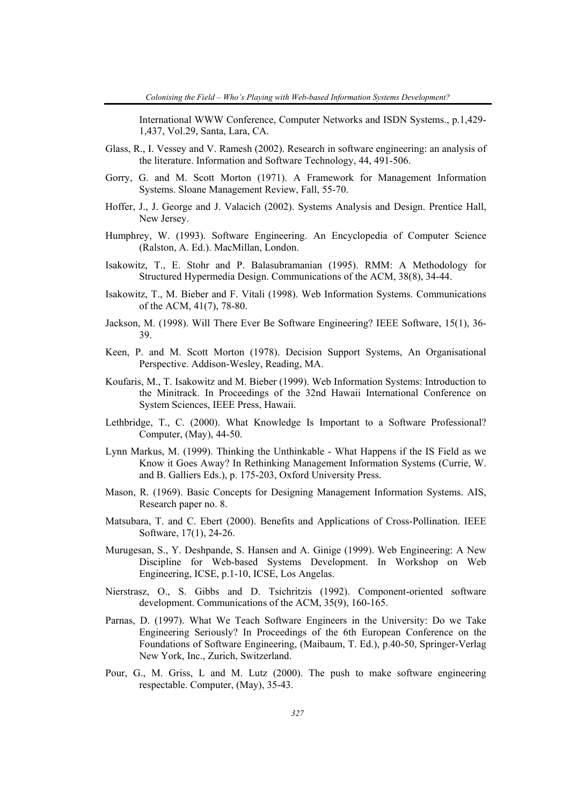International WWW Conference, Computer Networks and ISDN Systems., p.1,429- 1,437, Vol.29, Santa, Lara, CA.

- Glass, R., I. Vessey and V. Ramesh (2002). Research in software engineering: an analysis of the literature. Information and Software Technology, 44, 491-506.
- Gorry, G. and M. Scott Morton (1971). A Framework for Management Information Systems. Sloane Management Review, Fall, 55-70.
- Hoffer, J., J. George and J. Valacich (2002). Systems Analysis and Design. Prentice Hall, New Jersey.
- Humphrey, W. (1993). Software Engineering. An Encyclopedia of Computer Science (Ralston, A. Ed.). MacMillan, London.
- Isakowitz, T., E. Stohr and P. Balasubramanian (1995). RMM: A Methodology for Structured Hypermedia Design. Communications of the ACM, 38(8), 34-44.
- Isakowitz, T., M. Bieber and F. Vitali (1998). Web Information Systems. Communications of the ACM, 41(7), 78-80.
- Jackson, M. (1998). Will There Ever Be Software Engineering? IEEE Software, 15(1), 36- 39.
- Keen, P. and M. Scott Morton (1978). Decision Support Systems, An Organisational Perspective. Addison-Wesley, Reading, MA.
- Koufaris, M., T. Isakowitz and M. Bieber (1999). Web Information Systems: Introduction to the Minitrack. In Proceedings of the 32nd Hawaii International Conference on System Sciences, IEEE Press, Hawaii.
- Lethbridge, T., C. (2000). What Knowledge Is Important to a Software Professional? Computer, (May), 44-50.
- Lynn Markus, M. (1999). Thinking the Unthinkable What Happens if the IS Field as we Know it Goes Away? In Rethinking Management Information Systems (Currie, W. and B. Galliers Eds.), p. 175-203, Oxford University Press.
- Mason, R. (1969). Basic Concepts for Designing Management Information Systems. AIS, Research paper no. 8.
- Matsubara, T. and C. Ebert (2000). Benefits and Applications of Cross-Pollination. IEEE Software, 17(1), 24-26.
- Murugesan, S., Y. Deshpande, S. Hansen and A. Ginige (1999). Web Engineering: A New Discipline for Web-based Systems Development. In Workshop on Web Engineering, ICSE, p.1-10, ICSE, Los Angelas.
- Nierstrasz, O., S. Gibbs and D. Tsichritzis (1992). Component-oriented software development. Communications of the ACM, 35(9), 160-165.
- Parnas, D. (1997). What We Teach Software Engineers in the University: Do we Take Engineering Seriously? In Proceedings of the 6th European Conference on the Foundations of Software Engineering, (Maibaum, T. Ed.), p.40-50, Springer-Verlag New York, Inc., Zurich, Switzerland.
- Pour, G., M. Griss, L and M. Lutz (2000). The push to make software engineering respectable. Computer, (May), 35-43.